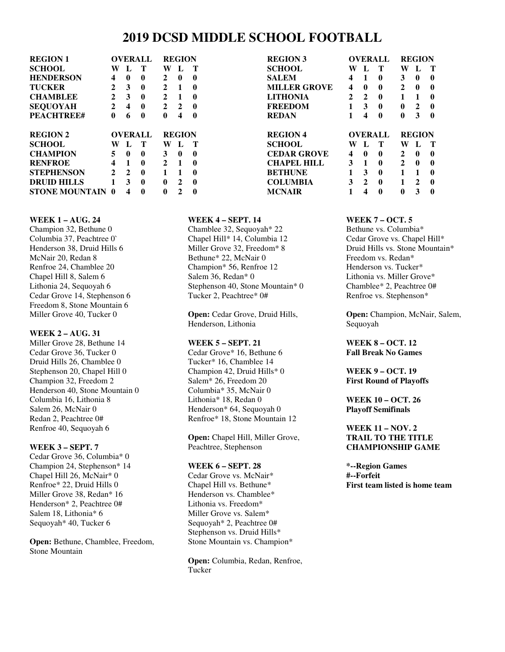# **2019 DCSD MIDDLE SCHOOL FOOTBALL**

| <b>REGION 1</b>    | <b>OVERALL</b> |   |   | <b>REGION</b> |   |   |
|--------------------|----------------|---|---|---------------|---|---|
| <b>SCHOOL</b>      | W              | L | т | W             | L | т |
| <b>HENDERSON</b>   | 4              | 0 | 0 | 2             | 0 | 0 |
| <b>TUCKER</b>      | 2              | 3 | 0 | 2             | 1 | 0 |
| <b>CHAMBLEE</b>    | 2              | 3 | 0 | $\mathbf{2}$  | 1 | 0 |
| <b>SEQUOYAH</b>    | 2              | 4 | 0 | $\mathbf{2}$  | 2 | 0 |
| <b>PEACHTREE#</b>  | 0              | 6 | 0 | 0             | 4 | 0 |
|                    | <b>OVERALL</b> |   |   | <b>REGION</b> |   |   |
| <b>REGION 2</b>    |                |   |   |               |   |   |
| <b>SCHOOL</b>      | W              | L | Т | W             | L | Т |
| <b>CHAMPION</b>    | 5              | 0 | 0 | 3             | 0 | 0 |
| <b>RENFROE</b>     | 4              | 1 | 0 | 2             | 1 | 0 |
| <b>STEPHENSON</b>  | 2              | 2 | 0 | 1             | 1 | 0 |
| <b>DRUID HILLS</b> | 1              | 3 | 0 | 0             | 2 | 0 |

| <b>REGION 3</b>     |              |             | <b>OVERALL</b> | <b>REGION</b> |              |   |  |
|---------------------|--------------|-------------|----------------|---------------|--------------|---|--|
| <b>SCHOOL</b>       | W            | L           | Т              | W             | L            | Т |  |
| SALEM               | 4            | 1           | 0              | 3             | 0            | 0 |  |
| <b>MILLER GROVE</b> | 4            | 0           | 0              | $\mathbf{2}$  | 0            | 0 |  |
| LITHONIA            | $\mathbf{2}$ | $\mathbf 2$ | 0              | 1             | 1            | 0 |  |
| <b>FREEDOM</b>      | 1            | 3           | 0              | 0             | $\mathbf{2}$ | 0 |  |
| REDAN               | 1            | 4           | 0              | 0             | 3            | 0 |  |
| REGION 4            |              |             | <b>OVERALL</b> | <b>REGION</b> |              |   |  |
| SCHOOL              | W            | L           | Т              | W             | L            | Т |  |
| CEDAR GROVE         | 4            | 0           | 0              | 2             | 0            | 0 |  |
| CHAPEL HILL         | 3            | 1           | 0              | 2             | 0            | 0 |  |
| BETHUNE             | 1            | 3           | 0              | 1             | 1            | 0 |  |
| COLUMBIA            | 3            | 2           | 0              | 1             | $\mathbf{2}$ | 0 |  |
| <b>MCNAIR</b>       |              |             |                |               |              |   |  |
|                     | 1            | 4           | 0              | 0             | 3            | 0 |  |

#### **WEEK 1 – AUG. 24**

Champion 32, Bethune 0 Columbia 37, Peachtree 0` Henderson 38, Druid Hills 6 McNair 20, Redan 8 Renfroe 24, Chamblee 20 Chapel Hill 8, Salem 6 Lithonia 24, Sequoyah 6 Cedar Grove 14, Stephenson 6 Freedom 8, Stone Mountain 6 Miller Grove 40, Tucker 0

#### **WEEK 2 – AUG. 31**

Miller Grove 28, Bethune 14 Cedar Grove 36, Tucker 0 Druid Hills 26, Chamblee 0 Stephenson 20, Chapel Hill 0 Champion 32, Freedom 2 Henderson 40, Stone Mountain 0 Columbia 16, Lithonia 8 Salem 26, McNair 0 Redan 2, Peachtree 0# Renfroe 40, Sequoyah 6

#### **WEEK 3 – SEPT. 7**

Cedar Grove 36, Columbia\* 0 Champion 24, Stephenson\* 14 Chapel Hill 26, McNair\* 0 Renfroe\* 22, Druid Hills 0 Miller Grove 38, Redan\* 16 Henderson\* 2, Peachtree 0# Salem 18, Lithonia\* 6 Sequoyah\* 40, Tucker 6

**Open:** Bethune, Chamblee, Freedom, Stone Mountain

#### **WEEK 4 – SEPT. 14**

Chamblee 32, Sequoyah\* 22 Chapel Hill\* 14, Columbia 12 Miller Grove 32, Freedom\* 8 Bethune\* 22, McNair 0 Champion\* 56, Renfroe 12 Salem 36, Redan\* 0 Stephenson 40, Stone Mountain\* 0 Tucker 2, Peachtree\* 0#

**Open:** Cedar Grove, Druid Hills, Henderson, Lithonia

#### **WEEK 5 – SEPT. 21**

Cedar Grove\* 16, Bethune 6 Tucker\* 16, Chamblee 14 Champion 42, Druid Hills\* 0 Salem\* 26, Freedom 20 Columbia\* 35, McNair 0 Lithonia\* 18, Redan 0 Henderson\* 64, Sequoyah 0 Renfroe\* 18, Stone Mountain 12

**Open:** Chapel Hill, Miller Grove, Peachtree, Stephenson

#### **WEEK 6 – SEPT. 28**

Cedar Grove vs. McNair\* Chapel Hill vs. Bethune\* Henderson vs. Chamblee\* Lithonia vs. Freedom\* Miller Grove vs. Salem\* Sequoyah\* 2, Peachtree 0# Stephenson vs. Druid Hills\* Stone Mountain vs. Champion\*

**Open:** Columbia, Redan, Renfroe, Tucker

#### **WEEK 7 – OCT. 5**

Bethune vs. Columbia\* Cedar Grove vs. Chapel Hill\* Druid Hills vs. Stone Mountain\* Freedom vs. Redan\* Henderson vs. Tucker\* Lithonia vs. Miller Grove\* Chamblee\* 2, Peachtree 0# Renfroe vs. Stephenson\*

**Open:** Champion, McNair, Salem, Sequoyah

**WEEK 8 – OCT. 12 Fall Break No Games** 

**WEEK 9 – OCT. 19 First Round of Playoffs** 

**WEEK 10 – OCT. 26 Playoff Semifinals** 

#### **WEEK 11 – NOV. 2 TRAIL TO THE TITLE CHAMPIONSHIP GAME**

**\*--Region Games #--Forfeit First team listed is home team**